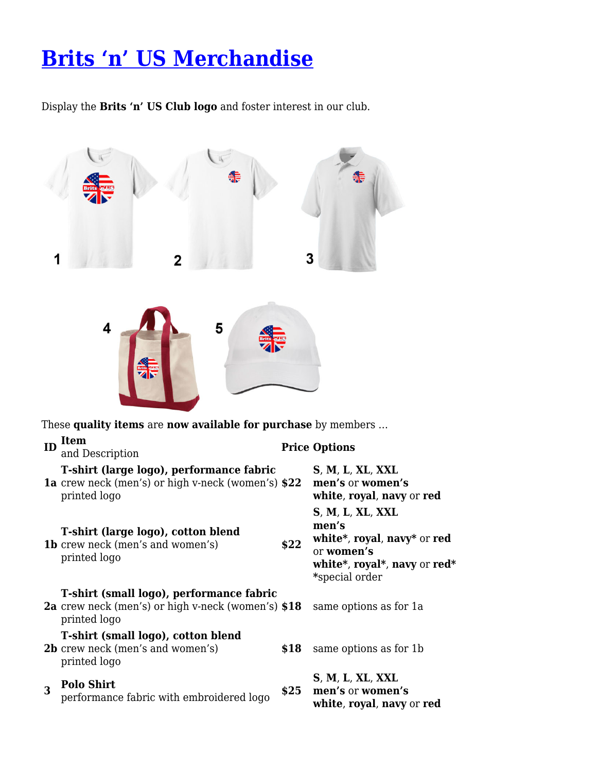## **[Brits 'n' US Merchandise](https://britsnus.club/membership/britsnus-merchandise/)**

Display the **Brits 'n' US Club logo** and foster interest in our club.